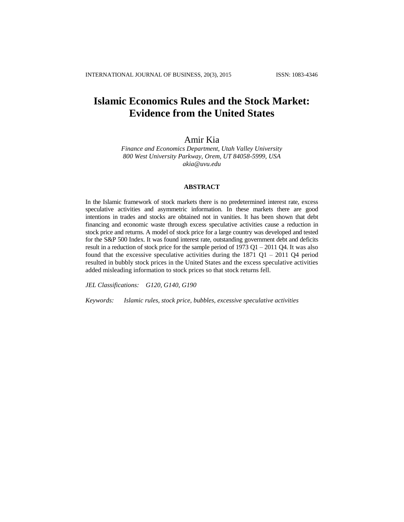# **Islamic Economics Rules and the Stock Market: Evidence from the United States**

# Amir Kia

*Finance and Economics Department, Utah Valley University 800 West University Parkway, Orem, UT 84058-5999, USA [akia@uvu.edu](mailto:akia@uvu.edu)*

# **ABSTRACT**

In the Islamic framework of stock markets there is no predetermined interest rate, excess speculative activities and asymmetric information. In these markets there are good intentions in trades and stocks are obtained not in vanities. It has been shown that debt financing and economic waste through excess speculative activities cause a reduction in stock price and returns. A model of stock price for a large country was developed and tested for the S&P 500 Index. It was found interest rate, outstanding government debt and deficits result in a reduction of stock price for the sample period of 1973 Q1 – 2011 Q4. It was also found that the excessive speculative activities during the 1871 Q1 – 2011 Q4 period resulted in bubbly stock prices in the United States and the excess speculative activities added misleading information to stock prices so that stock returns fell.

*JEL Classifications: G120, G140, G190*

*Keywords: Islamic rules, stock price, bubbles, excessive speculative activities*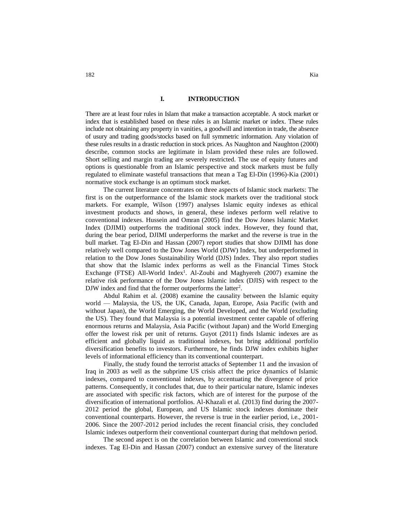## **I. INTRODUCTION**

There are at least four rules in Islam that make a transaction acceptable. A stock market or index that is established based on these rules is an Islamic market or index. These rules include not obtaining any property in vanities, a goodwill and intention in trade, the absence of usury and trading goods/stocks based on full symmetric information. Any violation of these rules results in a drastic reduction in stock prices. As Naughton and Naughton (2000) describe, common stocks are legitimate in Islam provided these rules are followed. Short selling and margin trading are severely restricted. The use of equity futures and options is questionable from an Islamic perspective and stock markets must be fully regulated to eliminate wasteful transactions that mean a Tag El-Din (1996)-Kia (2001) normative stock exchange is an optimum stock market.

The current literature concentrates on three aspects of Islamic stock markets: The first is on the outperformance of the Islamic stock markets over the traditional stock markets. For example, Wilson (1997) analyses Islamic equity indexes as ethical investment products and shows, in general, these indexes perform well relative to conventional indexes. Hussein and Omran (2005) find the Dow Jones Islamic Market Index (DJIMI) outperforms the traditional stock index. However, they found that, during the bear period, DJIMI underperforms the market and the reverse is true in the bull market. Tag El-Din and Hassan (2007) report studies that show DJIMI has done relatively well compared to the Dow Jones World (DJW) Index, but underperformed in relation to the Dow Jones Sustainability World (DJS) Index. They also report studies that show that the Islamic index performs as well as the Financial Times Stock Exchange (FTSE) All-World Index<sup>1</sup>. Al-Zoubi and Maghyereh (2007) examine the relative risk performance of the Dow Jones Islamic index (DJIS) with respect to the DJW index and find that the former outperforms the latter<sup>2</sup>.

Abdul Rahim et al. (2008) examine the causality between the Islamic equity world –– Malaysia, the US, the UK, Canada, Japan, Europe, Asia Pacific (with and without Japan), the World Emerging, the World Developed, and the World (excluding the US). They found that Malaysia is a potential investment center capable of offering enormous returns and Malaysia, Asia Pacific (without Japan) and the World Emerging offer the lowest risk per unit of returns. Guyot (2011) finds Islamic indexes are as efficient and globally liquid as traditional indexes, but bring additional portfolio diversification benefits to investors. Furthermore, he finds DJW index exhibits higher levels of informational efficiency than its conventional counterpart.

Finally, the study found the terrorist attacks of September 11 and the invasion of Iraq in 2003 as well as the subprime US crisis affect the price dynamics of Islamic indexes, compared to conventional indexes, by accentuating the divergence of price patterns. Consequently, it concludes that, due to their particular nature, Islamic indexes are associated with specific risk factors, which are of interest for the purpose of the diversification of international portfolios. Al-Khazali et al. (2013) find during the 2007- 2012 period the global, European, and US Islamic stock indexes dominate their conventional counterparts. However, the reverse is true in the earlier period, i.e., 2001- 2006. Since the 2007-2012 period includes the recent financial crisis, they concluded Islamic indexes outperform their conventional counterpart during that meltdown period.

The second aspect is on the correlation between Islamic and conventional stock indexes. Tag El-Din and Hassan (2007) conduct an extensive survey of the literature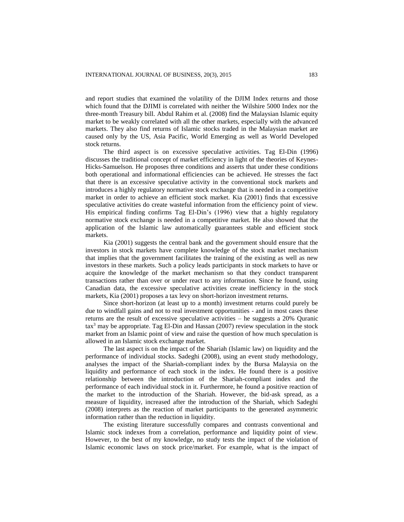and report studies that examined the volatility of the DJIM Index returns and those which found that the DJIMI is correlated with neither the Wilshire 5000 Index nor the three-month Treasury bill. Abdul Rahim et al. (2008) find the Malaysian Islamic equity market to be weakly correlated with all the other markets, especially with the advanced markets. They also find returns of Islamic stocks traded in the Malaysian market are caused only by the US, Asia Pacific, World Emerging as well as World Developed stock returns.

The third aspect is on excessive speculative activities. Tag El-Din (1996) discusses the traditional concept of market efficiency in light of the theories of Keynes-Hicks-Samuelson. He proposes three conditions and asserts that under these conditions both operational and informational efficiencies can be achieved. He stresses the fact that there is an excessive speculative activity in the conventional stock markets and introduces a highly regulatory normative stock exchange that is needed in a competitive market in order to achieve an efficient stock market. Kia (2001) finds that excessive speculative activities do create wasteful information from the efficiency point of view. His empirical finding confirms Tag El-Din's (1996) view that a highly regulatory normative stock exchange is needed in a competitive market. He also showed that the application of the Islamic law automatically guarantees stable and efficient stock markets.

Kia (2001) suggests the central bank and the government should ensure that the investors in stock markets have complete knowledge of the stock market mechanism that implies that the government facilitates the training of the existing as well as new investors in these markets. Such a policy leads participants in stock markets to have or acquire the knowledge of the market mechanism so that they conduct transparent transactions rather than over or under react to any information. Since he found, using Canadian data, the excessive speculative activities create inefficiency in the stock markets, Kia (2001) proposes a tax levy on short-horizon investment returns.

Since short-horizon (at least up to a month) investment returns could purely be due to windfall gains and not to real investment opportunities - and in most cases these returns are the result of excessive speculative activities – he suggests a 20% Quranic tax<sup>3</sup> may be appropriate. Tag El-Din and Hassan (2007) review speculation in the stock market from an Islamic point of view and raise the question of how much speculation is allowed in an Islamic stock exchange market.

The last aspect is on the impact of the Shariah (Islamic law) on liquidity and the performance of individual stocks. Sadeghi (2008), using an event study methodology, analyses the impact of the Shariah-compliant index by the Bursa Malaysia on the liquidity and performance of each stock in the index. He found there is a positive relationship between the introduction of the Shariah-compliant index and the performance of each individual stock in it. Furthermore, he found a positive reaction of the market to the introduction of the Shariah. However, the bid-ask spread, as a measure of liquidity, increased after the introduction of the Shariah, which Sadeghi (2008) interprets as the reaction of market participants to the generated asymmetric information rather than the reduction in liquidity.

The existing literature successfully compares and contrasts conventional and Islamic stock indexes from a correlation, performance and liquidity point of view. However, to the best of my knowledge, no study tests the impact of the violation of Islamic economic laws on stock price/market. For example, what is the impact of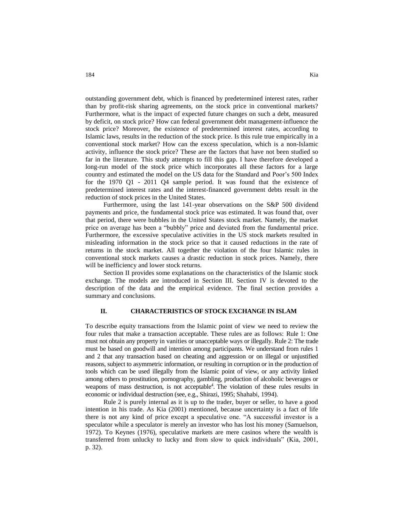outstanding government debt, which is financed by predetermined interest rates, rather than by profit-risk sharing agreements, on the stock price in conventional markets? Furthermore, what is the impact of expected future changes on such a debt, measured by deficit, on stock price? How can federal government debt management influence the stock price? Moreover, the existence of predetermined interest rates, according to Islamic laws, results in the reduction of the stock price. Is this rule true empirically in a conventional stock market? How can the excess speculation, which is a non-Islamic activity, influence the stock price? These are the factors that have not been studied so far in the literature. This study attempts to fill this gap. I have therefore developed a long-run model of the stock price which incorporates all these factors for a large country and estimated the model on the US data for the Standard and Poor's 500 Index for the 1970 Q1 - 2011 Q4 sample period. It was found that the existence of predetermined interest rates and the interest-financed government debts result in the reduction of stock prices in the United States.

Furthermore, using the last 141-year observations on the S&P 500 dividend payments and price, the fundamental stock price was estimated. It was found that, over that period, there were bubbles in the United States stock market. Namely, the market price on average has been a "bubbly" price and deviated from the fundamental price. Furthermore, the excessive speculative activities in the US stock markets resulted in misleading information in the stock price so that it caused reductions in the rate of returns in the stock market. All together the violation of the four Islamic rules in conventional stock markets causes a drastic reduction in stock prices. Namely, there will be inefficiency and lower stock returns.

Section II provides some explanations on the characteristics of the Islamic stock exchange. The models are introduced in Section III. Section IV is devoted to the description of the data and the empirical evidence. The final section provides a summary and conclusions.

#### **II. CHARACTERISTICS OF STOCK EXCHANGE IN ISLAM**

To describe equity transactions from the Islamic point of view we need to review the four rules that make a transaction acceptable. These rules are as follows: Rule 1: One must not obtain any property in vanities or unacceptable ways or illegally. Rule 2: The trade must be based on goodwill and intention among participants. We understand from rules 1 and 2 that any transaction based on cheating and aggression or on illegal or unjustified reasons, subject to asymmetric information, or resulting in corruption or in the production of tools which can be used illegally from the Islamic point of view, or any activity linked among others to prostitution, pornography, gambling, production of alcoholic beverages or weapons of mass destruction, is not acceptable<sup>4</sup>. The violation of these rules results in economic or individual destruction (see, e.g., Shirazi, 1995; Shahabi, 1994).

Rule 2 is purely internal as it is up to the trader, buyer or seller, to have a good intention in his trade. As Kia (2001) mentioned, because uncertainty is a fact of life there is not any kind of price except a speculative one. "A successful investor is a speculator while a speculator is merely an investor who has lost his money (Samuelson, 1972). To Keynes (1976), speculative markets are mere casinos where the wealth is transferred from unlucky to lucky and from slow to quick individuals" (Kia, 2001, p. 32).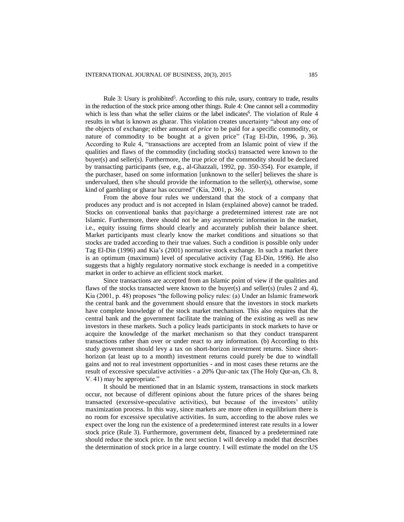Rule 3: Usury is prohibited<sup>5</sup>. According to this rule, usury, contrary to trade, results in the reduction of the stock price among other things. Rule 4: One cannot sell a commodity which is less than what the seller claims or the label indicates<sup>6</sup>. The violation of Rule 4 results in what is known as gharar. This violation creates uncertainty "about any one of the objects of exchange; either amount of *price* to be paid for a specific commodity, or nature of commodity to be bought at a given price" (Tag El-Din, 1996, p. 36). According to Rule 4, "transactions are accepted from an Islamic point of view if the qualities and flaws of the commodity (including stocks) transacted were known to the buyer(s) and seller(s). Furthermore, the true price of the commodity should be declared by transacting participants (see, e.g., al-Ghazzali, 1992, pp. 350-354). For example, if the purchaser, based on some information [unknown to the seller] believes the share is undervalued, then s/he should provide the information to the seller(s), otherwise, some kind of gambling or gharar has occurred" (Kia, 2001, p. 36).

From the above four rules we understand that the stock of a company that produces any product and is not accepted in Islam (explained above) cannot be traded. Stocks on conventional banks that pay/charge a predetermined interest rate are not Islamic. Furthermore, there should not be any asymmetric information in the market, i.e., equity issuing firms should clearly and accurately publish their balance sheet. Market participants must clearly know the market conditions and situations so that stocks are traded according to their true values. Such a condition is possible only under Tag El-Din (1996) and Kia's (2001) normative stock exchange. In such a market there is an optimum (maximum) level of speculative activity (Tag El-Din, 1996). He also suggests that a highly regulatory normative stock exchange is needed in a competitive market in order to achieve an efficient stock market.

Since transactions are accepted from an Islamic point of view if the qualities and flaws of the stocks transacted were known to the buyer(s) and seller(s) (rules 2 and 4), Kia (2001, p. 48) proposes "the following policy rules: (a) Under an Islamic framework the central bank and the government should ensure that the investors in stock markets have complete knowledge of the stock market mechanism. This also requires that the central bank and the government facilitate the training of the existing as well as new investors in these markets. Such a policy leads participants in stock markets to have or acquire the knowledge of the market mechanism so that they conduct transparent transactions rather than over or under react to any information. (b) According to this study government should levy a tax on short-horizon investment returns. Since shorthorizon (at least up to a month) investment returns could purely be due to windfall gains and not to real investment opportunities - and in most cases these returns are the result of excessive speculative activities - a 20% Qur-anic tax (The Holy Qur-an, Ch. 8, V. 41) may be appropriate."

It should be mentioned that in an Islamic system, transactions in stock markets occur, not because of different opinions about the future prices of the shares being transacted (excessive-speculative activities), but because of the investors' utility maximization process. In this way, since markets are more often in equilibrium there is no room for excessive speculative activities. In sum, according to the above rules we expect over the long run the existence of a predetermined interest rate results in a lower stock price (Rule 3). Furthermore, government debt, financed by a predetermined rate should reduce the stock price. In the next section I will develop a model that describes the determination of stock price in a large country. I will estimate the model on the US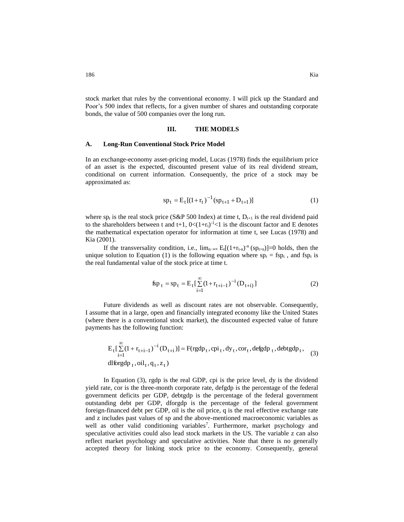stock market that rules by the conventional economy. I will pick up the Standard and Poor's 500 index that reflects, for a given number of shares and outstanding corporate bonds, the value of 500 companies over the long run.

#### **III. THE MODELS**

#### **A. Long-Run Conventional Stock Price Model**

In an exchange-economy asset-pricing model, Lucas (1978) finds the equilibrium price of an asset is the expected, discounted present value of its real dividend stream, conditional on current information. Consequently, the price of a stock may be approximated as:

$$
sp_{t} = E_{t}[(1+r_{t})^{-1}(sp_{t+1} + D_{t+1})]
$$
\n(1)

where sp<sub>t</sub> is the real stock price (S&P 500 Index) at time t,  $D_{t+1}$  is the real dividend paid to the shareholders between t and t+1,  $0 < (1 + r_t)^{-1} < 1$  is the discount factor and E denotes the mathematical expectation operator for information at time t, see Lucas (1978) and Kia (2001).

If the transversality condition, i.e.,  $\lim_{n\to\infty} E_t[(1+r_{t-n})^{-n} (sp_{t+n})]=0$  holds, then the unique solution to Equation (1) is the following equation where  $sp_t = fsp_t$ , and  $fsp_t$  is the real fundamental value of the stock price at time t.

$$
f_{\text{sp}_{t}} = sp_{t} = E_{t} \left[ \sum_{i=1}^{\infty} (1 + r_{t+i-1})^{-i} (D_{t+i}) \right]
$$
 (2)

Future dividends as well as discount rates are not observable. Consequently, I assume that in a large, open and financially integrated economy like the United States (where there is a conventional stock market), the discounted expected value of future payments has the following function:

$$
E_t\left[\sum_{i=1}^{\infty} (1 + r_{t+i-1})^{-i} (D_{t+i})\right] = F(\text{rgdp}_t, \text{epi}_t, \text{dy}_t, \text{cor}_t, \text{defgdp}_t, \text{debtgdp}_t,\tag{3}
$$
  
dlforgdp<sub>t</sub>, oil<sub>t</sub>, q<sub>t</sub>, z<sub>t</sub>)

In Equation (3), rgdp is the real GDP, cpi is the price level, dy is the dividend yield rate, cor is the three-month corporate rate, defgdp is the percentage of the federal government deficits per GDP, debtgdp is the percentage of the federal government outstanding debt per GDP, dforgdp is the percentage of the federal government foreign-financed debt per GDP, oil is the oil price, q is the real effective exchange rate and z includes past values of sp and the above-mentioned macroeconomic variables as well as other valid conditioning variables<sup>7</sup>. Furthermore, market psychology and speculative activities could also lead stock markets in the US. The variable z can also reflect market psychology and speculative activities. Note that there is no generally accepted theory for linking stock price to the economy. Consequently, general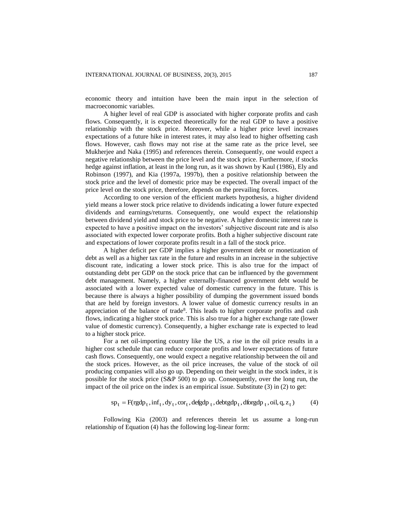economic theory and intuition have been the main input in the selection of macroeconomic variables.

A higher level of real GDP is associated with higher corporate profits and cash flows. Consequently, it is expected theoretically for the real GDP to have a positive relationship with the stock price. Moreover, while a higher price level increases expectations of a future hike in interest rates, it may also lead to higher offsetting cash flows. However, cash flows may not rise at the same rate as the price level, see Mukherjee and Naka (1995) and references therein. Consequently, one would expect a negative relationship between the price level and the stock price. Furthermore, if stocks hedge against inflation, at least in the long run, as it was shown by Kaul (1986), Ely and Robinson (1997), and Kia (1997a, 1997b), then a positive relationship between the stock price and the level of domestic price may be expected. The overall impact of the price level on the stock price, therefore, depends on the prevailing forces.

According to one version of the efficient markets hypothesis, a higher dividend yield means a lower stock price relative to dividends indicating a lower future expected dividends and earnings/returns. Consequently, one would expect the relationship between dividend yield and stock price to be negative. A higher domestic interest rate is expected to have a positive impact on the investors' subjective discount rate and is also associated with expected lower corporate profits. Both a higher subjective discount rate and expectations of lower corporate profits result in a fall of the stock price.

A higher deficit per GDP implies a higher government debt or monetization of debt as well as a higher tax rate in the future and results in an increase in the subjective discount rate, indicating a lower stock price. This is also true for the impact of outstanding debt per GDP on the stock price that can be influenced by the government debt management. Namely, a higher externally-financed government debt would be associated with a lower expected value of domestic currency in the future. This is because there is always a higher possibility of dumping the government issued bonds that are held by foreign investors. A lower value of domestic currency results in an appreciation of the balance of trade<sup>8</sup>. This leads to higher corporate profits and cash flows, indicating a higher stock price. This is also true for a higher exchange rate (lower value of domestic currency). Consequently, a higher exchange rate is expected to lead to a higher stock price.

For a net oil-importing country like the US, a rise in the oil price results in a higher cost schedule that can reduce corporate profits and lower expectations of future cash flows. Consequently, one would expect a negative relationship between the oil and the stock prices. However, as the oil price increases, the value of the stock of oil producing companies will also go up. Depending on their weight in the stock index, it is possible for the stock price (S&P 500) to go up. Consequently, over the long run, the impact of the oil price on the index is an empirical issue. Substitute (3) in (2) to get:

$$
sp_t = F(rgdp_t, inf_t, dy_t, cor_t, defgdp_t, debtgdp_t, dforgdp_t, oil, q, z_t)
$$
 (4)

Following Kia (2003) and references therein let us assume a long-run relationship of Equation (4) has the following log-linear form: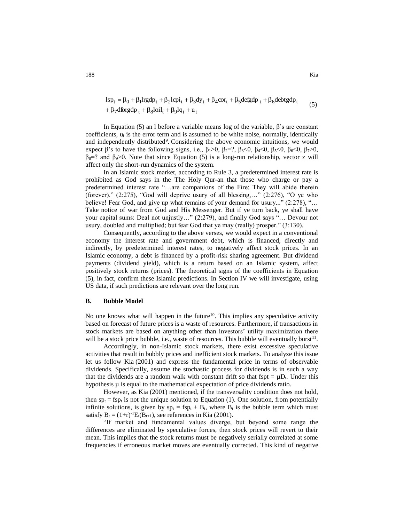$$
1sp_t = \beta_0 + \beta_1 lrgdp_t + \beta_2 lcpi_t + \beta_3 dy_t + \beta_4 cor_t + \beta_5 defgdp_t + \beta_6 defgdp_t
$$
  
+ 
$$
\beta_7 dforgdp_t + \beta_8 loil_t + \beta_9 lq_t + u_t
$$
 (5)

In Equation (5) an l before a variable means log of the variable, β's are constant coefficients,  $u_t$  is the error term and is assumed to be white noise, normally, identically and independently distributed $9$ . Considering the above economic intuitions, we would expect  $\beta$ 's to have the following signs, i.e.,  $\beta_1 > 0$ ,  $\beta_2 = ?$ ,  $\beta_3 < 0$ ,  $\beta_4 < 0$ ,  $\beta_5 < 0$ ,  $\beta_6 < 0$ ,  $\beta_7 > 0$ ,  $\beta_8$ =? and  $\beta_9$ >0. Note that since Equation (5) is a long-run relationship, vector z will affect only the short-run dynamics of the system.

In an Islamic stock market, according to Rule 3, a predetermined interest rate is prohibited as God says in the The Holy Qur-an that those who charge or pay a predetermined interest rate "…are companions of the Fire: They will abide therein (forever)." (2:275), "God will deprive usury of all blessing,…" (2:276), "O ye who believe! Fear God, and give up what remains of your demand for usury..." (2:278), "... Take notice of war from God and His Messenger. But if ye turn back, ye shall have your capital sums: Deal not unjustly…" (2:279), and finally God says "… Devour not usury, doubled and multiplied; but fear God that ye may (really) prosper." (3:130).

Consequently, according to the above verses, we would expect in a conventional economy the interest rate and government debt, which is financed, directly and indirectly, by predetermined interest rates, to negatively affect stock prices. In an Islamic economy, a debt is financed by a profit-risk sharing agreement. But dividend payments (dividend yield), which is a return based on an Islamic system, affect positively stock returns (prices). The theoretical signs of the coefficients in Equation (5), in fact, confirm these Islamic predictions. In Section IV we will investigate, using US data, if such predictions are relevant over the long run.

#### **B. Bubble Model**

No one knows what will happen in the future<sup>10</sup>. This implies any speculative activity based on forecast of future prices is a waste of resources. Furthermore, if transactions in stock markets are based on anything other than investors' utility maximization there will be a stock price bubble, i.e., waste of resources. This bubble will eventually burst $^{11}$ .

Accordingly, in non-Islamic stock markets, there exist excessive speculative activities that result in bubbly prices and inefficient stock markets. To analyze this issue let us follow Kia (2001) and express the fundamental price in terms of observable dividends. Specifically, assume the stochastic process for dividends is in such a way that the dividends are a random walk with constant drift so that fspt =  $\mu$ D<sub>t</sub>. Under this hypothesis  $\mu$  is equal to the mathematical expectation of price dividends ratio.

However, as Kia (2001) mentioned, if the transversality condition does not hold, then  $sp_t = fsp_t$  is not the unique solution to Equation (1). One solution, from potentially infinite solutions, is given by  $sp_t = fsp_t + B_t$ , where  $B_t$  is the bubble term which must satisfy  $B_t = (1+r)^{-1}E_t(B_{t+1})$ , see references in Kia (2001).

"If market and fundamental values diverge, but beyond some range the differences are eliminated by speculative forces, then stock prices will revert to their mean. This implies that the stock returns must be negatively serially correlated at some frequencies if erroneous market moves are eventually corrected. This kind of negative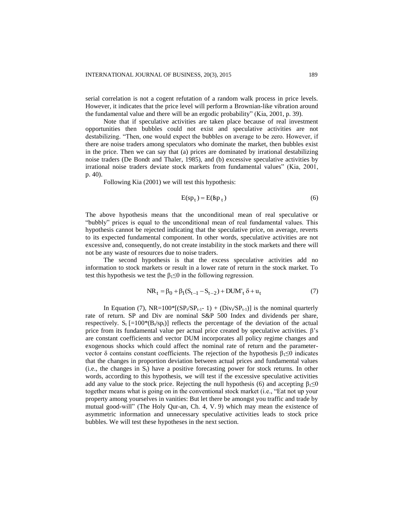serial correlation is not a cogent refutation of a random walk process in price levels. However, it indicates that the price level will perform a Brownian-like vibration around the fundamental value and there will be an ergodic probability" (Kia, 2001, p. 39).

Note that if speculative activities are taken place because of real investment opportunities then bubbles could not exist and speculative activities are not destabilizing. "Then, one would expect the bubbles on average to be zero. However, if there are noise traders among speculators who dominate the market, then bubbles exist in the price. Then we can say that (a) prices are dominated by irrational destabilizing noise traders (De Bondt and Thaler, 1985), and (b) excessive speculative activities by irrational noise traders deviate stock markets from fundamental values" (Kia, 2001, p. 40).

Following Kia (2001) we will test this hypothesis:

$$
E(sp_t) = E(fsp_t)
$$
 (6)

The above hypothesis means that the unconditional mean of real speculative or "bubbly" prices is equal to the unconditional mean of real fundamental values. This hypothesis cannot be rejected indicating that the speculative price, on average, reverts to its expected fundamental component. In other words, speculative activities are not excessive and, consequently, do not create instability in the stock markets and there will not be any waste of resources due to noise traders.

The second hypothesis is that the excess speculative activities add no information to stock markets or result in a lower rate of return in the stock market. To test this hypothesis we test the  $\beta_1 \leq 0$  in the following regression.

$$
NR_{t} = \beta_{0} + \beta_{1}(S_{t-1} - S_{t-2}) + DUM'_{t} \delta + u_{t}
$$
\n(7)

In Equation (7),  $NR=100*(SPI/SPI_{t-1}-1) + (Div/SPI_{t-1})$  is the nominal quarterly rate of return. SP and Div are nominal S&P 500 Index and dividends per share, respectively.  $S_t$  [=100\*(B<sub>t</sub>/sp<sub>t</sub>)] reflects the percentage of the deviation of the actual price from its fundamental value per actual price created by speculative activities. β's are constant coefficients and vector DUM incorporates all policy regime changes and exogenous shocks which could affect the nominal rate of return and the parametervector δ contains constant coefficients. The rejection of the hypothesis β1≤0 indicates that the changes in proportion deviation between actual prices and fundamental values  $(i.e., the changes in S<sub>t</sub>) have a positive forecasting power for stock returns. In other$ words, according to this hypothesis, we will test if the excessive speculative activities add any value to the stock price. Rejecting the null hypothesis (6) and accepting  $\beta_1 \le 0$ together means what is going on in the conventional stock market (i.e., "Eat not up your property among yourselves in vanities: But let there be amongst you traffic and trade by mutual good-will" (The Holy Qur-an, Ch. 4, V. 9) which may mean the existence of asymmetric information and unnecessary speculative activities leads to stock price bubbles. We will test these hypotheses in the next section.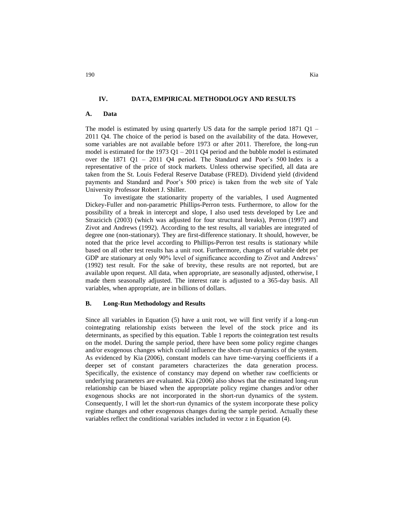# **IV. DATA, EMPIRICAL METHODOLOGY AND RESULTS**

#### **A. Data**

The model is estimated by using quarterly US data for the sample period  $1871$  Q1 – 2011 Q4. The choice of the period is based on the availability of the data. However, some variables are not available before 1973 or after 2011. Therefore, the long-run model is estimated for the 1973 Q1 – 2011 Q4 period and the bubble model is estimated over the 1871 Q1 – 2011 Q4 period. The Standard and Poor's 500 Index is a representative of the price of stock markets. Unless otherwise specified, all data are taken from the St. Louis Federal Reserve Database (FRED). Dividend yield (dividend payments and Standard and Poor's 500 price) is taken from the web site of Yale University Professor Robert J. Shiller.

To investigate the stationarity property of the variables, I used Augmented Dickey-Fuller and non-parametric Phillips-Perron tests. Furthermore, to allow for the possibility of a break in intercept and slope, I also used tests developed by Lee and Strazicich (2003) (which was adjusted for four structural breaks), Perron (1997) and Zivot and Andrews (1992). According to the test results, all variables are integrated of degree one (non-stationary). They are first-difference stationary. It should, however, be noted that the price level according to Phillips-Perron test results is stationary while based on all other test results has a unit root. Furthermore, changes of variable debt per GDP are stationary at only 90% level of significance according to Zivot and Andrews' (1992) test result. For the sake of brevity, these results are not reported, but are available upon request. All data, when appropriate, are seasonally adjusted, otherwise, I made them seasonally adjusted. The interest rate is adjusted to a 365-day basis. All variables, when appropriate, are in billions of dollars.

#### **B. Long-Run Methodology and Results**

Since all variables in Equation (5) have a unit root, we will first verify if a long-run cointegrating relationship exists between the level of the stock price and its determinants, as specified by this equation. Table 1 reports the cointegration test results on the model. During the sample period, there have been some policy regime changes and/or exogenous changes which could influence the short-run dynamics of the system. As evidenced by Kia (2006), constant models can have time-varying coefficients if a deeper set of constant parameters characterizes the data generation process. Specifically, the existence of constancy may depend on whether raw coefficients or underlying parameters are evaluated. Kia (2006) also shows that the estimated long-run relationship can be biased when the appropriate policy regime changes and/or other exogenous shocks are not incorporated in the short-run dynamics of the system. Consequently, I will let the short-run dynamics of the system incorporate these policy regime changes and other exogenous changes during the sample period. Actually these variables reflect the conditional variables included in vector z in Equation (4).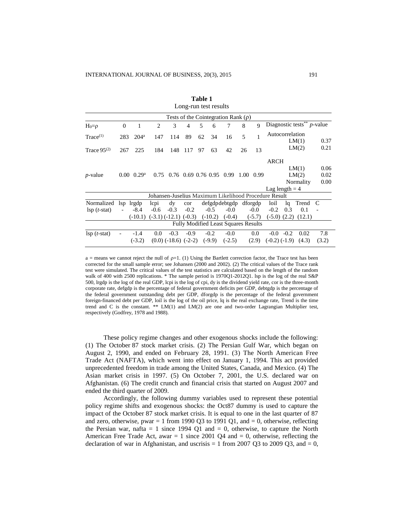|                                                                                       |                          |                                |        |                             |        | rabie r |           |               |           |          |                   |                  |           |     |       |
|---------------------------------------------------------------------------------------|--------------------------|--------------------------------|--------|-----------------------------|--------|---------|-----------|---------------|-----------|----------|-------------------|------------------|-----------|-----|-------|
| Long-run test results                                                                 |                          |                                |        |                             |        |         |           |               |           |          |                   |                  |           |     |       |
| Tests of the Cointegration Rank $(\rho)$<br>Diagnostic tests <sup>**</sup> $p$ -value |                          |                                |        |                             |        |         |           |               |           |          |                   |                  |           |     |       |
| $H_0 = \rho$                                                                          | $\mathbf{0}$             | 1                              | 2      | 3                           | 4      | 5       | 6         | 7             | 8         | 9        |                   |                  |           |     |       |
| Trace <sup>(1)</sup>                                                                  | 283                      | 204 <sup>a</sup>               | 147    | 114                         | 89     | 62      | 34        | 16            | 5         |          |                   | Autocorrelation  | LM(1)     |     | 0.37  |
| Trace $95^{(2)}$                                                                      | 267                      | 225                            | 184    | 148                         | 117    | 97      | 63        | 42            | 26        | 13       |                   |                  | LM(2)     |     | 0.21  |
|                                                                                       |                          |                                |        |                             |        |         |           |               |           |          | <b>ARCH</b>       |                  |           |     |       |
|                                                                                       |                          |                                |        |                             |        |         |           |               |           |          |                   |                  | LM(1)     |     | 0.06  |
| <i>p</i> -value                                                                       |                          | $0.00 \quad 0.29$ <sup>a</sup> | 0.75   | $0.76$ 0.69 0.76 0.95       |        |         |           | 0.99          | 1.00 0.99 |          |                   |                  | LM(2)     |     | 0.02  |
|                                                                                       |                          |                                |        |                             |        |         |           |               |           |          |                   |                  | Normality |     | 0.00  |
|                                                                                       |                          |                                |        |                             |        |         |           |               |           |          | Lag length $= 4$  |                  |           |     |       |
| Johansen-Juselius Maximum Likelihood Procedure Result                                 |                          |                                |        |                             |        |         |           |               |           |          |                   |                  |           |     |       |
| Normalized                                                                            |                          | lsp lrgdp                      | lcpi   | dy                          | cor    |         |           | defgdpdebtgdp |           | dforgdp  | loil              | lq               | Trend     | - C |       |
| $\text{lsp}(t\text{-stat})$                                                           | $\overline{\phantom{a}}$ | $-8.4$                         | $-0.6$ | $-0.3$                      | $-0.2$ |         | $-0.5$    | $-0.0$        |           | $-0.0$   | $-0.2$            | 0.3              | 0.1       |     |       |
|                                                                                       |                          | $(-10.1)$                      |        | $(-3.1)$ $(-12.1)$ $(-0.3)$ |        |         | $(-10.2)$ | $(-0.4)$      |           | $(-5.7)$ |                   | $(-5.0)$ $(2.2)$ | (12.1)    |     |       |
| <b>Fully Modified Least Squares Results</b>                                           |                          |                                |        |                             |        |         |           |               |           |          |                   |                  |           |     |       |
| $\text{lsp}(t\text{-stat})$                                                           |                          | $-1.4$                         | 0.0    | $-0.3$                      | $-0.9$ |         | $-0.2$    | $-0.0$        |           | 0.0      | $-0.0$            | $-0.2$           | 0.02      |     | 7.8   |
|                                                                                       |                          | $(-3.2)$                       |        | $(0.0)$ $(-18.6)$ $(-2-2)$  |        |         | $(-9.9)$  | $(-2.5)$      |           | (2.9)    | $(-0.2)$ $(-1.9)$ |                  | (4.3)     |     | (3.2) |

**Table 1** 

 $a =$  means we cannot reject the null of  $p=1$ . (1) Using the Bartlett correction factor, the Trace test has been corrected for the small sample error; see Johansen (2000 and 2002). (2) The critical values of the Trace rank test were simulated. The critical values of the test statistics are calculated based on the length of the random walk of 400 with 2500 replications. \* The sample period is 1970Q1-2012Q1. lsp is the log of the real S&P 500, lrgdp is the log of the real GDP, lcpi is the log of cpi, dy is the dividend yield rate, cor is the three-month corporate rate, defgdp is the percentage of federal government deficits per GDP, debtgdp is the percentage of the federal government outstanding debt per GDP, dforgdp is the percentage of the federal government foreign-financed debt per GDP, loil is the log of the oil price, lq is the real exchange rate, Trend is the time trend and C is the constant. \*\* LM(1) and LM(2) are one and two-order Lagrangian Multiplier test, respectively (Godfrey, 1978 and 1988).

These policy regime changes and other exogenous shocks include the following: (1) The October 87 stock market crisis. (2) The Persian Gulf War, which began on August 2, 1990, and ended on February 28, 1991. (3) The North American Free Trade Act (NAFTA), which went into effect on January 1, 1994. This act provided unprecedented freedom in trade among the United States, Canada, and Mexico. (4) The Asian market crisis in 1997. (5) On October 7, 2001, the U.S. declared war on Afghanistan. (6) The credit crunch and financial crisis that started on August 2007 and ended the third quarter of 2009.

Accordingly, the following dummy variables used to represent these potential policy regime shifts and exogenous shocks: the Oct87 dummy is used to capture the impact of the October 87 stock market crisis. It is equal to one in the last quarter of 87 and zero, otherwise, pwar = 1 from 1990 Q3 to 1991 Q1, and = 0, otherwise, reflecting the Persian war, nafta  $= 1$  since 1994 Q1 and  $= 0$ , otherwise, to capture the North American Free Trade Act, awar  $= 1$  since 2001 Q4 and  $= 0$ , otherwise, reflecting the declaration of war in Afghanistan, and uscrisis  $= 1$  from 2007 Q3 to 2009 Q3, and  $= 0$ ,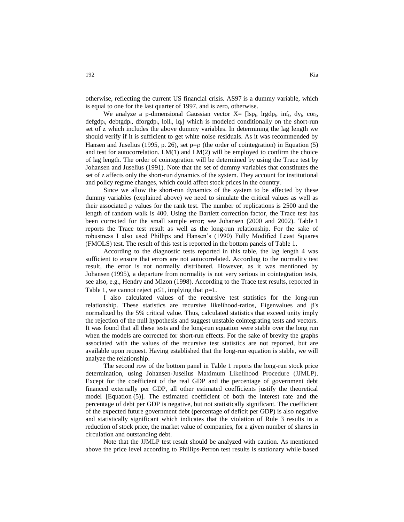otherwise, reflecting the current US financial crisis. AS97 is a dummy variable, which is equal to one for the last quarter of 1997, and is zero, otherwise.

We analyze a p-dimensional Gaussian vector  $X = \{lsp_t, \text{lrgdp}_t, \text{inf}_t, \text{dy}_t, \text{cor}_t, \text{d} \}$  $\text{defgdp}_t$ , debtgdp<sub>t</sub>, dforgdp<sub>t</sub>, loil<sub>t</sub>, lq<sub>t</sub>] which is modeled conditionally on the short-run set of z which includes the above dummy variables. In determining the lag length we should verify if it is sufficient to get white noise residuals. As it was recommended by Hansen and Juselius (1995, p. 26), set  $p = \rho$  (the order of cointegration) in Equation (5) and test for autocorrelation. LM(1) and LM(2) will be employed to confirm the choice of lag length. The order of cointegration will be determined by using the Trace test by Johansen and Juselius (1991). Note that the set of dummy variables that constitutes the set of z affects only the short-run dynamics of the system. They account for institutional and policy regime changes, which could affect stock prices in the country.

Since we allow the short-run dynamics of the system to be affected by these dummy variables (explained above) we need to simulate the critical values as well as their associated  $\rho$  values for the rank test. The number of replications is 2500 and the length of random walk is 400. Using the Bartlett correction factor, the Trace test has been corrected for the small sample error; see Johansen (2000 and 2002). Table 1 reports the Trace test result as well as the long-run relationship. For the sake of robustness I also used Phillips and Hansen's (1990) Fully Modified Least Squares (FMOLS) test. The result of this test is reported in the bottom panels of Table 1.

According to the diagnostic tests reported in this table, the lag length 4 was sufficient to ensure that errors are not autocorrelated. According to the normality test result, the error is not normally distributed. However, as it was mentioned by Johansen (1995), a departure from normality is not very serious in cointegration tests, see also, e.g., Hendry and Mizon (1998). According to the Trace test results, reported in Table 1, we cannot reject  $\rho \le 1$ , implying that  $\rho =1$ .

I also calculated values of the recursive test statistics for the long-run relationship. These statistics are recursive likelihood-ratios, Eigenvalues and β's normalized by the 5% critical value. Thus, calculated statistics that exceed unity imply the rejection of the null hypothesis and suggest unstable cointegrating tests and vectors. It was found that all these tests and the long-run equation were stable over the long run when the models are corrected for short-run effects. For the sake of brevity the graphs associated with the values of the recursive test statistics are not reported, but are available upon request. Having established that the long-run equation is stable, we will analyze the relationship.

The second row of the bottom panel in Table 1 reports the long-run stock price determination, using Johansen-Juselius Maximum Likelihood Procedure (JJMLP). Except for the coefficient of the real GDP and the percentage of government debt financed externally per GDP, all other estimated coefficients justify the theoretical model [Equation (5)]. The estimated coefficient of both the interest rate and the percentage of debt per GDP is negative, but not statistically significant. The coefficient of the expected future government debt (percentage of deficit per GDP) is also negative and statistically significant which indicates that the violation of Rule 3 results in a reduction of stock price, the market value of companies, for a given number of shares in circulation and outstanding debt.

Note that the JJMLP test result should be analyzed with caution. As mentioned above the price level according to Phillips-Perron test results is stationary while based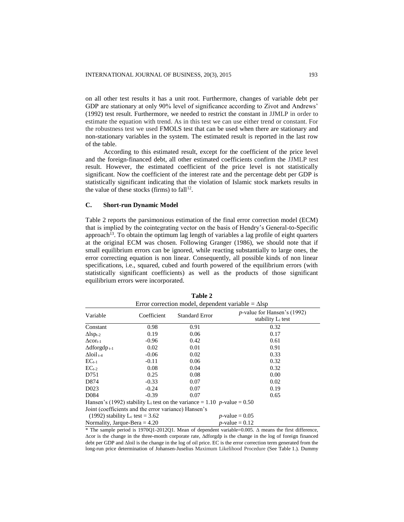on all other test results it has a unit root. Furthermore, changes of variable debt per GDP are stationary at only 90% level of significance according to Zivot and Andrews' (1992) test result. Furthermore, we needed to restrict the constant in JJMLP in order to estimate the equation with trend. As in this test we can use either trend or constant. For the robustness test we used FMOLS test that can be used when there are stationary and non-stationary variables in the system. The estimated result is reported in the last row of the table.

According to this estimated result, except for the coefficient of the price level and the foreign-financed debt, all other estimated coefficients confirm the JJMLP test result. However, the estimated coefficient of the price level is not statistically significant. Now the coefficient of the interest rate and the percentage debt per GDP is statistically significant indicating that the violation of Islamic stock markets results in the value of these stocks (firms) to  $fall<sup>12</sup>$ .

# **C. Short-run Dynamic Model**

Table 2 reports the parsimonious estimation of the final error correction model (ECM) that is implied by the cointegrating vector on the basis of Hendry's General-to-Specific approach<sup>13</sup>. To obtain the optimum lag length of variables a lag profile of eight quarters at the original ECM was chosen. Following Granger (1986), we should note that if small equilibrium errors can be ignored, while reacting substantially to large ones, the error correcting equation is non linear. Consequently, all possible kinds of non linear specifications, i.e., squared, cubed and fourth powered of the equilibrium errors (with statistically significant coefficients) as well as the products of those significant equilibrium errors were incorporated.

|                                                                    |                                                                                     |                       | Error correction model, dependent variable = $\Delta$ lsp       |  |  |  |  |
|--------------------------------------------------------------------|-------------------------------------------------------------------------------------|-----------------------|-----------------------------------------------------------------|--|--|--|--|
| Variable                                                           | Coefficient                                                                         | <b>Standard Error</b> | $p$ -value for Hansen's (1992)<br>stability L <sub>i</sub> test |  |  |  |  |
| Constant                                                           | 0.98                                                                                | 0.91                  | 0.32                                                            |  |  |  |  |
| $\Delta$ lsp <sub>t-2</sub>                                        | 0.19                                                                                | 0.06                  | 0.17                                                            |  |  |  |  |
| $\Delta$ cor <sub>t-1</sub>                                        | $-0.96$                                                                             | 0.42                  | 0.61                                                            |  |  |  |  |
| $\Delta$ dforgdp <sub>t-1</sub>                                    | 0.02                                                                                | 0.01                  | 0.91                                                            |  |  |  |  |
| $\Delta$ loil <sub>t-4</sub>                                       | $-0.06$                                                                             | 0.02                  | 0.33                                                            |  |  |  |  |
| $EC_{t-1}$                                                         | $-0.11$                                                                             | 0.06                  | 0.32                                                            |  |  |  |  |
| $EC_{t-2}$                                                         | 0.08                                                                                | 0.04                  | 0.32                                                            |  |  |  |  |
| D751                                                               | 0.25                                                                                | 0.08                  | 0.00                                                            |  |  |  |  |
| D874                                                               | $-0.33$                                                                             | 0.07                  | 0.02                                                            |  |  |  |  |
| D <sub>0</sub> 23                                                  | $-0.24$                                                                             | 0.07                  | 0.19                                                            |  |  |  |  |
| D <sub>0</sub> 84                                                  | $-0.39$                                                                             | 0.07                  | 0.65                                                            |  |  |  |  |
|                                                                    | Hansen's (1992) stability L <sub>i</sub> test on the variance = 1.10 p-value = 0.50 |                       |                                                                 |  |  |  |  |
|                                                                    | Joint (coefficients and the error variance) Hansen's                                |                       |                                                                 |  |  |  |  |
| $(1992)$ stability L <sub>c</sub> test = 3.62<br>$p$ -value = 0.05 |                                                                                     |                       |                                                                 |  |  |  |  |
| Normality, Jarque-Bera $= 4.20$                                    |                                                                                     |                       | <i>p</i> -value = $0.12$                                        |  |  |  |  |

**Table 2**

 $*$  The sample period is 1970Q1-2012Q1. Mean of dependent variable=0.005.  $\Delta$  means the first difference,  $\Delta$ cor is the change in the three-month corporate rate,  $\Delta$ dforgdp is the change in the log of foreign financed debt per GDP and Aloil is the change in the log of oil price. EC is the error correction term generated from the long-run price determination of Johansen-Juselius Maximum Likelihood Procedure (See Table 1.). Dummy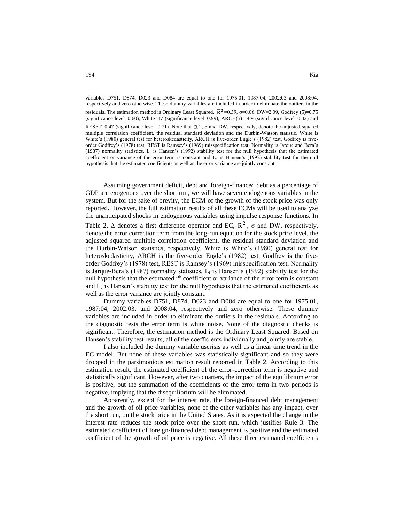variables D751, D874, D023 and D084 are equal to one for 1975:01, 1987:04, 2002:03 and 2008:04, respectively and zero otherwise. These dummy variables are included in order to eliminate the outliers in the residuals. The estimation method is Ordinary Least Squared.  $\overline{R}^2$  =0.39,  $\sigma$ =0.06, DW=2.09, Godfrey (5)=0.75 (significance level=0.60), White=47 (significance level=0.99), ARCH(5)= 4.9 (significance level=0.42) and RESET=0.47 (significance level=0.71). Note that  $\overline{R}^2$ ,  $\sigma$  and DW, respectively, denote the adjusted squared multiple correlation coefficient, the residual standard deviation and the Durbin-Watson statistic. White is White's (1980) general test for heteroskedasticity, ARCH is five-order Engle's (1982) test, Godfrey is fiveorder Godfrey's (1978) test, REST is Ramsey's (1969) misspecification test, Normality is Jarque and Bera's (1987) normality statistics, L<sup>i</sup> is Hansen's (1992) stability test for the null hypothesis that the estimated coefficient or variance of the error term is constant and  $L_c$  is Hansen's (1992) stability test for the null hypothesis that the estimated coefficients as well as the error variance are jointly constant.

Assuming government deficit, debt and foreign-financed debt as a percentage of GDP are exogenous over the short run, we will have seven endogenous variables in the system. But for the sake of brevity, the ECM of the growth of the stock price was only reported**.** However, the full estimation results of all these ECMs will be used to analyze the unanticipated shocks in endogenous variables using impulse response functions. In Table 2,  $\Delta$  denotes a first difference operator and EC,  $\overline{R}^2$ ,  $\sigma$  and DW, respectively, denote the error correction term from the long-run equation for the stock price level, the adjusted squared multiple correlation coefficient, the residual standard deviation and the Durbin-Watson statistics, respectively. White is White's (1980) general test for heteroskedasticity, ARCH is the five-order Engle's (1982) test, Godfrey is the fiveorder Godfrey's (1978) test, REST is Ramsey's (1969) misspecification test, Normality is Jarque-Bera's (1987) normality statistics,  $L_i$  is Hansen's (1992) stability test for the null hypothesis that the estimated i<sup>th</sup> coefficient or variance of the error term is constant and  $L<sub>c</sub>$  is Hansen's stability test for the null hypothesis that the estimated coefficients as well as the error variance are jointly constant.

Dummy variables D751, D874, D023 and D084 are equal to one for 1975:01, 1987:04, 2002:03, and 2008:04, respectively and zero otherwise. These dummy variables are included in order to eliminate the outliers in the residuals. According to the diagnostic tests the error term is white noise. None of the diagnostic checks is significant. Therefore, the estimation method is the Ordinary Least Squared. Based on Hansen's stability test results, all of the coefficients individually and jointly are stable.

I also included the dummy variable uscrisis as well as a linear time trend in the EC model. But none of these variables was statistically significant and so they were dropped in the parsimonious estimation result reported in Table 2. According to this estimation result, the estimated coefficient of the error-correction term is negative and statistically significant. However, after two quarters, the impact of the equilibrium error is positive, but the summation of the coefficients of the error term in two periods is negative, implying that the disequilibrium will be eliminated.

Apparently, except for the interest rate, the foreign-financed debt management and the growth of oil price variables, none of the other variables has any impact, over the short run, on the stock price in the United States. As it is expected the change in the interest rate reduces the stock price over the short run, which justifies Rule 3. The estimated coefficient of foreign-financed debt management is positive and the estimated coefficient of the growth of oil price is negative. All these three estimated coefficients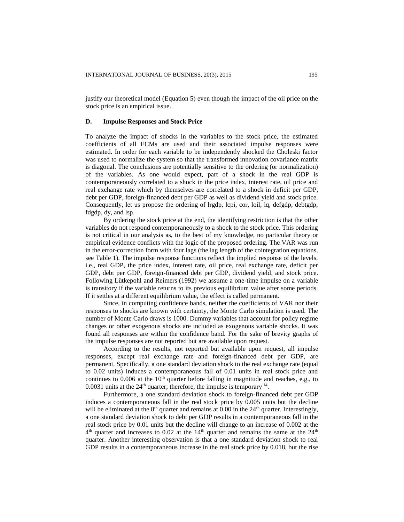justify our theoretical model (Equation 5) even though the impact of the oil price on the stock price is an empirical issue.

# **D. Impulse Responses and Stock Price**

To analyze the impact of shocks in the variables to the stock price, the estimated coefficients of all ECMs are used and their associated impulse responses were estimated. In order for each variable to be independently shocked the Choleski factor was used to normalize the system so that the transformed innovation covariance matrix is diagonal. The conclusions are potentially sensitive to the ordering (or normalization) of the variables. As one would expect, part of a shock in the real GDP is contemporaneously correlated to a shock in the price index, interest rate, oil price and real exchange rate which by themselves are correlated to a shock in deficit per GDP, debt per GDP, foreign-financed debt per GDP as well as dividend yield and stock price. Consequently, let us propose the ordering of lrgdp, lcpi, cor, loil, lq, defgdp, debtgdp, fdgdp, dy, and lsp.

By ordering the stock price at the end, the identifying restriction is that the other variables do not respond contemporaneously to a shock to the stock price. This ordering is not critical in our analysis as, to the best of my knowledge, no particular theory or empirical evidence conflicts with the logic of the proposed ordering. The VAR was run in the error-correction form with four lags (the lag length of the cointegration equations, see Table 1). The impulse response functions reflect the implied response of the levels, i.e., real GDP, the price index, interest rate, oil price, real exchange rate, deficit per GDP, debt per GDP, foreign-financed debt per GDP, dividend yield, and stock price. Following Lütkepohl and Reimers (1992) we assume a one-time impulse on a variable is transitory if the variable returns to its previous equilibrium value after some periods. If it settles at a different equilibrium value, the effect is called permanent.

Since, in computing confidence bands, neither the coefficients of VAR nor their responses to shocks are known with certainty, the Monte Carlo simulation is used. The number of Monte Carlo draws is 1000. Dummy variables that account for policy regime changes or other exogenous shocks are included as exogenous variable shocks. It was found all responses are within the confidence band. For the sake of brevity graphs of the impulse responses are not reported but are available upon request.

According to the results, not reported but available upon request, all impulse responses, except real exchange rate and foreign-financed debt per GDP, are permanent. Specifically, a one standard deviation shock to the real exchange rate (equal to 0.02 units) induces a contemporaneous fall of 0.01 units in real stock price and continues to 0.006 at the  $10<sup>th</sup>$  quarter before falling in magnitude and reaches, e.g., to 0.0031 units at the  $24<sup>th</sup>$  quarter; therefore, the impulse is temporary  $14$ .

Furthermore, a one standard deviation shock to foreign-financed debt per GDP induces a contemporaneous fall in the real stock price by 0.005 units but the decline will be eliminated at the  $8<sup>th</sup>$  quarter and remains at 0.00 in the 24<sup>th</sup> quarter. Interestingly, a one standard deviation shock to debt per GDP results in a contemporaneous fall in the real stock price by 0.01 units but the decline will change to an increase of 0.002 at the  $4<sup>th</sup>$  quarter and increases to 0.02 at the 14<sup>th</sup> quarter and remains the same at the 24<sup>th</sup> quarter. Another interesting observation is that a one standard deviation shock to real GDP results in a contemporaneous increase in the real stock price by 0.018, but the rise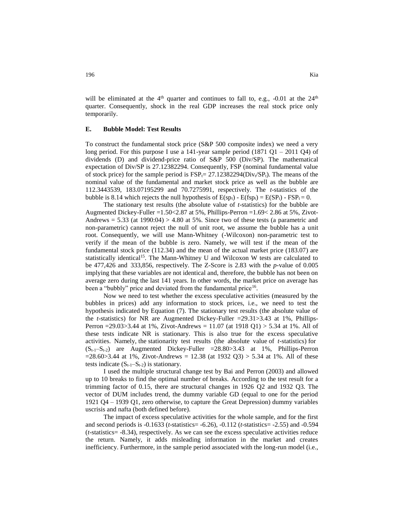will be eliminated at the  $4<sup>th</sup>$  quarter and continues to fall to, e.g., -0.01 at the  $24<sup>th</sup>$ quarter. Consequently, shock in the real GDP increases the real stock price only temporarily.

# **E. Bubble Model: Test Results**

To construct the fundamental stock price (S&P 500 composite index) we need a very long period. For this purpose I use a 141-year sample period (1871 Q1 – 2011 Q4) of dividends (D) and dividend-price ratio of S&P 500 (Div/SP). The mathematical expectation of Div/SP is 27.12382294. Consequently, FSP (nominal fundamental value of stock price) for the sample period is  $FSP_t = 27.12382294(Div_t/SP_t)$ . The means of the nominal value of the fundamental and market stock price as well as the bubble are 112.3443539, 183.07195299 and 70.7275991, respectively. The *t*-statistics of the bubble is 8.14 which rejects the null hypothesis of  $E(sp_t) - E(SP_t) = E(SP_t) - FSP_t = 0$ .

The stationary test results (the absolute value of *t*-statistics) for the bubble are Augmented Dickey-Fuller =1.50<2.87 at 5%, Phillips-Perron =1.69< 2.86 at 5%, Zivot-Andrews  $= 5.33$  (at 1990:04)  $> 4.80$  at 5%. Since two of these tests (a parametric and non-parametric) cannot reject the null of unit root, we assume the bubble has a unit root. Consequently, we will use Mann-Whitney (-Wilcoxon) non-parametric test to verify if the mean of the bubble is zero. Namely, we will test if the mean of the fundamental stock price (112.34) and the mean of the actual market price (183.07) are statistically identical<sup>15</sup>. The Mann-Whitney U and Wilcoxon W tests are calculated to be 477,426 and 333,856, respectively. The Z-Score is 2.83 with the *p*-value of 0.005 implying that these variables are not identical and, therefore, the bubble has not been on average zero during the last 141 years. In other words, the market price on average has been a "bubbly" price and deviated from the fundamental price<sup>16</sup>.

Now we need to test whether the excess speculative activities (measured by the bubbles in prices) add any information to stock prices, i.e., we need to test the hypothesis indicated by Equation (7). The stationary test results (the absolute value of the *t*-statistics) for NR are Augmented Dickey-Fuller =29.31>3.43 at 1%, Phillips-Perron =29.03>3.44 at 1%, Zivot-Andrews = 11.07 (at 1918 Q1) > 5.34 at 1%. All of these tests indicate NR is stationary. This is also true for the excess speculative activities. Namely, the stationarity test results (the absolute value of *t*-statistics) for  $(S_{t-1}-S_{t-2})$  are Augmented Dickey-Fuller = 28.80 > 3.43 at 1%, Phillips-Perron  $=28.60>3.44$  at 1%, Zivot-Andrews = 12.38 (at 1932 Q3) > 5.34 at 1%. All of these tests indicate  $(S_{t-1}-S_{t-2})$  is stationary.

I used the multiple structural change test by Bai and Perron (2003) and allowed up to 10 breaks to find the optimal number of breaks. According to the test result for a trimming factor of 0.15, there are structural changes in 1926 Q2 and 1932 Q3. The vector of DUM includes trend, the dummy variable GD (equal to one for the period 1921 Q4 – 1939 Q1, zero otherwise, to capture the Great Depression) dummy variables uscrisis and nafta (both defined before).

The impact of excess speculative activities for the whole sample, and for the first and second periods is -0.1633 (*t*-statistics= -6.26), -0.112 (*t*-statistics= -2.55) and -0.594 (*t*-statistics= -8.34), respectively. As we can see the excess speculative activities reduce the return. Namely, it adds misleading information in the market and creates inefficiency. Furthermore, in the sample period associated with the long-run model (i.e.,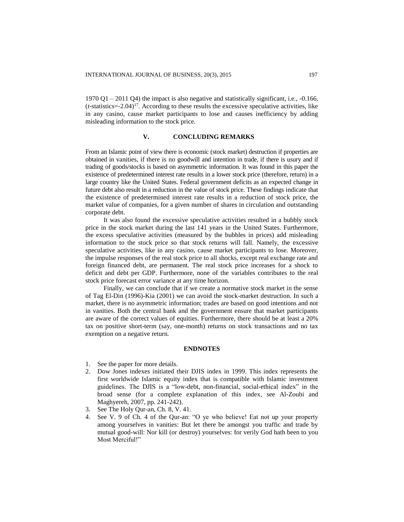1970 Q1 – 2011 Q4) the impact is also negative and statistically significant, i.e.,  $-0.166$ ,  $(t$ -statistics=-2.04)<sup>17</sup>. According to these results the excessive speculative activities, like in any casino, cause market participants to lose and causes inefficiency by adding misleading information to the stock price.

#### **V. CONCLUDING REMARKS**

From an Islamic point of view there is economic (stock market) destruction if properties are obtained in vanities, if there is no goodwill and intention in trade, if there is usury and if trading of goods/stocks is based on asymmetric information. It was found in this paper the existence of predetermined interest rate results in a lower stock price (therefore, return) in a large country like the United States. Federal government deficits as an expected change in future debt also result in a reduction in the value of stock price. These findings indicate that the existence of predetermined interest rate results in a reduction of stock price, the market value of companies, for a given number of shares in circulation and outstanding corporate debt.

It was also found the excessive speculative activities resulted in a bubbly stock price in the stock market during the last 141 years in the United States. Furthermore, the excess speculative activities (measured by the bubbles in prices) add misleading information to the stock price so that stock returns will fall. Namely, the excessive speculative activities, like in any casino, cause market participants to lose. Moreover, the impulse responses of the real stock price to all shocks, except real exchange rate and foreign financed debt, are permanent. The real stock price increases for a shock to deficit and debt per GDP. Furthermore, none of the variables contributes to the real stock price forecast error variance at any time horizon.

Finally, we can conclude that if we create a normative stock market in the sense of Tag El-Din (1996)-Kia (2001) we can avoid the stock-market destruction. In such a market, there is no asymmetric information; trades are based on good intentions and not in vanities. Both the central bank and the government ensure that market participants are aware of the correct values of equities. Furthermore, there should be at least a 20% tax on positive short-term (say, one-month) returns on stock transactions and no tax exemption on a negative return.

# **ENDNOTES**

- 1. See the paper for more details.
- 2. Dow Jones indexes initiated their DJIS index in 1999. This index represents the first worldwide Islamic equity index that is compatible with Islamic investment guidelines. The DJIS is a "low-debt, non-financial, social-ethical index" in the broad sense (for a complete explanation of this index, see Al-Zoubi and Maghyereh, 2007, pp. 241-242).
- 3. See The Holy Qur-an, Ch. 8, V. 41.
- 4. See V. 9 of Ch. 4 of the Qur-an: "O ye who believe! Eat not up your property among yourselves in vanities: But let there be amongst you traffic and trade by mutual good-will: Nor kill (or destroy) yourselves: for verily God hath been to you Most Merciful!"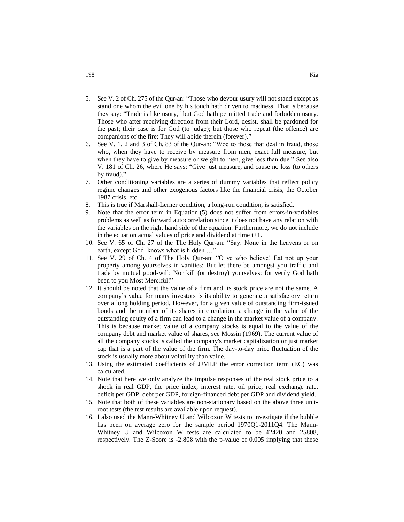- 5. See V. 2 of Ch. 275 of the Qur-an: "Those who devour usury will not stand except as stand one whom the evil one by his touch hath driven to madness. That is because they say: "Trade is like usury," but God hath permitted trade and forbidden usury. Those who after receiving direction from their Lord, desist, shall be pardoned for the past; their case is for God (to judge); but those who repeat (the offence) are companions of the fire: They will abide therein (forever)."
- 6. See V. 1, 2 and 3 of Ch. 83 of the Qur-an: "Woe to those that deal in fraud, those who, when they have to receive by measure from men, exact full measure, but when they have to give by measure or weight to men, give less than due." See also V. 181 of Ch. 26, where He says: "Give just measure, and cause no loss (to others by fraud)."
- 7. Other conditioning variables are a series of dummy variables that reflect policy regime changes and other exogenous factors like the financial crisis, the October 1987 crisis, etc.
- This is true if Marshall-Lerner condition, a long-run condition, is satisfied.
- 9. Note that the error term in Equation (5) does not suffer from errors-in-variables problems as well as forward autocorrelation since it does not have any relation with the variables on the right hand side of the equation. Furthermore, we do not include in the equation actual values of price and dividend at time t+1.
- 10. See V. 65 of Ch. 27 of the The Holy Qur-an: "Say: None in the heavens or on earth, except God, knows what is hidden …"
- 11. See V. 29 of Ch. 4 of The Holy Qur-an: "O ye who believe! Eat not up your property among yourselves in vanities: But let there be amongst you traffic and trade by mutual good-will: Nor kill (or destroy) yourselves: for verily God hath been to you Most Merciful!"
- 12. It should be noted that the value of a firm and its stock price are not the same. A company's value for many investors is its ability to generate a satisfactory return over a long holding period. However, for a given value of outstanding firm-issued bonds and the number of its shares in circulation, a change in the value of the outstanding equity of a firm can lead to a change in the market value of a company. This is because market value of a company stocks is equal to the value of the company debt and market value of shares, see Mossin (1969). The current value of all the company stocks is called the company's market capitalization or just market cap that is a part of the value of the firm. The day-to-day price fluctuation of the stock is usually more about volatility than value.
- 13. Using the estimated coefficients of JJMLP the error correction term (EC) was calculated.
- 14. Note that here we only analyze the impulse responses of the real stock price to a shock in real GDP, the price index, interest rate, oil price, real exchange rate, deficit per GDP, debt per GDP, foreign-financed debt per GDP and dividend yield.
- 15. Note that both of these variables are non-stationary based on the above three unitroot tests (the test results are available upon request).
- 16. I also used the Mann-Whitney U and Wilcoxon W tests to investigate if the bubble has been on average zero for the sample period 1970Q1-2011Q4. The Mann-Whitney U and Wilcoxon W tests are calculated to be 42420 and 25808, respectively. The Z-Score is -2.808 with the p-value of 0.005 implying that these

198 Kia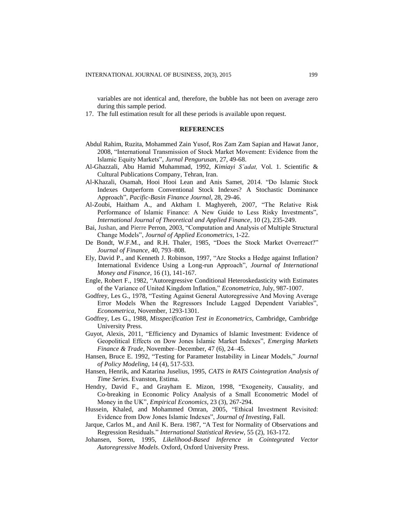variables are not identical and, therefore, the bubble has not been on average zero during this sample period.

17. The full estimation result for all these periods is available upon request.

#### **REFERENCES**

- Abdul Rahim, Ruzita, Mohammed Zain Yusof, Ros Zam Zam Sapian and Hawat Janor, 2008, "International Transmission of Stock Market Movement: Evidence from the Islamic Equity Markets", *Jurnal Pengurusan*, 27, 49-68.
- Al-Ghazzali, Abu Hamid Muhammad, 1992, *Kimiayi S'adat,* Vol. 1. Scientific & Cultural Publications Company, Tehran, Iran.
- Al-Khazali, Osamah, Hooi Hooi Lean and Anis Samet, 2014. "Do Islamic Stock Indexes Outperform Conventional Stock Indexes? A Stochastic Dominance Approach", *Pacific-Basin Finance Journal*, 28, 29-46.
- Al-Zoubi, Haitham A., and Aktham I. Maghyereh, 2007, "The Relative Risk Performance of Islamic Finance: A New Guide to Less Risky Investments", *International Journal of Theoretical and Applied Finance*, 10 (2), 235-249.
- Bai, Jushan, and Pierre Perron, 2003, "Computation and Analysis of Multiple Structural Change Models", *Journal of Applied Econometrics*, 1-22.
- De Bondt, W.F.M., and R.H. Thaler, 1985, "Does the Stock Market Overreact?" *Journal of Finance,* 40, 793–808.
- Ely, David P., and Kenneth J. Robinson, 1997, "Are Stocks a Hedge against Inflation? International Evidence Using a Long-run Approach", *Journal of International Money and Finance*, 16 (1), 141-167.
- Engle, Robert F., 1982, "Autoregressive Conditional Heteroskedasticity with Estimates of the Variance of United Kingdom Inflation," *Econometrica*, July, 987-1007.
- Godfrey, Les G., 1978, "Testing Against General Autoregressive And Moving Average Error Models When the Regressors Include Lagged Dependent Variables", *Econometrica,* November, 1293-1301.
- Godfrey, Les G., 1988, *Misspecification Test in Econometrics,* Cambridge, Cambridge University Press.
- Guyot, Alexis, 2011, "Efficiency and Dynamics of Islamic Investment: Evidence of Geopolitical Effects on Dow Jones Islamic Market Indexes", *Emerging Markets Finance & Trade*, November–December, 47 (6), 24–45.
- Hansen, Bruce E. 1992, "Testing for Parameter Instability in Linear Models," *Journal of Policy Modeling*, 14 (4), 517-533.
- Hansen, Henrik, and Katarina Juselius, 1995, *CATS in RATS Cointegration Analysis of Time Series*. Evanston, Estima.
- Hendry, David F., and Grayham E. Mizon, 1998, "Exogeneity, Causality, and Co-breaking in Economic Policy Analysis of a Small Econometric Model of Money in the UK"*, Empirical Economics*, 23 (3), 267-294.
- Hussein, Khaled, and Mohammed Omran, 2005, "Ethical Investment Revisited: Evidence from Dow Jones Islamic Indexes", *Journal of Investing*, Fall.
- Jarque, Carlos M., and Anil K. Bera. 1987, "A Test for Normality of Observations and Regression Residuals." *International Statistical Review*, 55 (2), 163-172.
- Johansen, Soren, 1995, *Likelihood-Based Inference in Cointegrated Vector Autoregressive Models*. Oxford, Oxford University Press.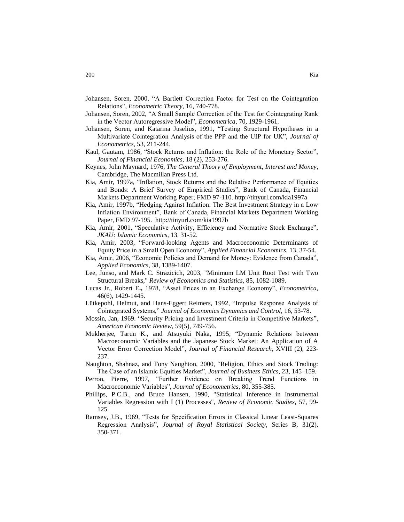- Johansen, Soren, 2000, "A Bartlett Correction Factor for Test on the Cointegration Relations", *Econometric Theory,* 16, 740-778.
- Johansen, Soren, 2002, "A Small Sample Correction of the Test for Cointegrating Rank in the Vector Autoregressive Model", *Econometrica*, 70, 1929-1961.
- Johansen, Soren, and Katarina Juselius, 1991, "Testing Structural Hypotheses in a Multivariate Cointegration Analysis of the PPP and the UIP for UK", *Journal of Econometrics*, 53, 211-244.
- Kaul, Gautam, 1986, "Stock Returns and Inflation: the Role of the Monetary Sector", *Journal of Financial Economics*, 18 (2), 253-276.
- Keynes, John Maynard**,** 1976, *The General Theory of Employment, Interest and Money*, Cambridge, The Macmillan Press Ltd.
- Kia, Amir, 1997a, "Inflation, Stock Returns and the Relative Performance of Equities and Bonds: A Brief Survey of Empirical Studies", Bank of Canada, Financial Markets Department Working Paper, FMD 97-110.<http://tinyurl.com/kia1997a>
- Kia, Amir, 1997b, "Hedging Against Inflation: The Best Investment Strategy in a Low Inflation Environment", Bank of Canada, Financial Markets Department Working Paper, FMD 97-195.<http://tinyurl.com/kia1997b>
- Kia, Amir, 2001, "Speculative Activity, Efficiency and Normative Stock Exchange", *JKAU: Islamic Economics*, 13, 31-52.
- Kia, Amir, 2003, "Forward-looking Agents and Macroeconomic Determinants of Equity Price in a Small Open Economy", *Applied Financial Economics*, 13, 37-54.
- Kia, Amir, 2006, "Economic Policies and Demand for Money: Evidence from Canada", *Applied Economics*, 38, 1389-1407.
- Lee, Junso, and Mark C. Strazicich, 2003, "Minimum LM Unit Root Test with Two Structural Breaks," *Review of Economics and Statistics*, 85, 1082-1089.
- Lucas Jr., Robert E**.,** 1978, "Asset Prices in an Exchange Economy", *Econometrica*, 46(6), 1429-1445.
- Lütkepohl, Helmut, and Hans-Eggert Reimers, 1992, "Impulse Response Analysis of Cointegrated Systems," *Journal of Economics Dynamics and Control*, 16, 53-78.
- Mossin, Jan, 1969. "Security Pricing and Investment Criteria in Competitive Markets", *American Economic Review*, 59(5), 749-756.
- Mukherjee, Tarun K., and Atsuyuki Naka, 1995, "Dynamic Relations between Macroeconomic Variables and the Japanese Stock Market: An Application of A Vector Error Correction Model", *Journal of Financial Research*, XVIII (2), 223- 237.
- Naughton, Shahnaz, and Tony Naughton, 2000, "Religion, Ethics and Stock Trading: The Case of an Islamic Equities Market", *Journal of Business Ethics,* 23, 145–159.
- Perron, Pierre, 1997, "Further Evidence on Breaking Trend Functions in Macroeconomic Variables", *Journal of Econometrics*, 80, 355-385.
- Phillips, P.C.B., and Bruce Hansen, 1990, "Statistical Inference in Instrumental Variables Regression with I (1) Processes", *Review of Economic Studies*, 57, 99- 125.
- Ramsey, J.B., 1969, "Tests for Specification Errors in Classical Linear Least-Squares Regression Analysis", *Journal of Royal Statistical Society*, Series B, 31(2), 350-371.